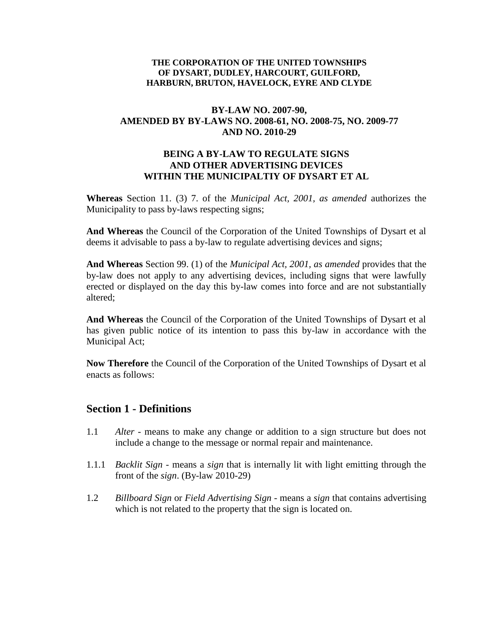#### **THE CORPORATION OF THE UNITED TOWNSHIPS OF DYSART, DUDLEY, HARCOURT, GUILFORD, HARBURN, BRUTON, HAVELOCK, EYRE AND CLYDE**

# **BY-LAW NO. 2007-90, AMENDED BY BY-LAWS NO. 2008-61, NO. 2008-75, NO. 2009-77 AND NO. 2010-29**

#### **BEING A BY-LAW TO REGULATE SIGNS AND OTHER ADVERTISING DEVICES WITHIN THE MUNICIPALTIY OF DYSART ET AL**

**Whereas** Section 11. (3) 7. of the *Municipal Act, 2001, as amended* authorizes the Municipality to pass by-laws respecting signs;

**And Whereas** the Council of the Corporation of the United Townships of Dysart et al deems it advisable to pass a by-law to regulate advertising devices and signs;

**And Whereas** Section 99. (1) of the *Municipal Act, 2001, as amended* provides that the by-law does not apply to any advertising devices, including signs that were lawfully erected or displayed on the day this by-law comes into force and are not substantially altered;

**And Whereas** the Council of the Corporation of the United Townships of Dysart et al has given public notice of its intention to pass this by-law in accordance with the Municipal Act;

**Now Therefore** the Council of the Corporation of the United Townships of Dysart et al enacts as follows:

# **Section 1 - Definitions**

- 1.1 *Alter -* means to make any change or addition to a sign structure but does not include a change to the message or normal repair and maintenance.
- 1.1.1 *Backlit Sign*  means a *sign* that is internally lit with light emitting through the front of the *sign*. (By-law 2010-29)
- 1.2 *Billboard Sign* or *Field Advertising Sign* means a *sign* that contains advertising which is not related to the property that the sign is located on.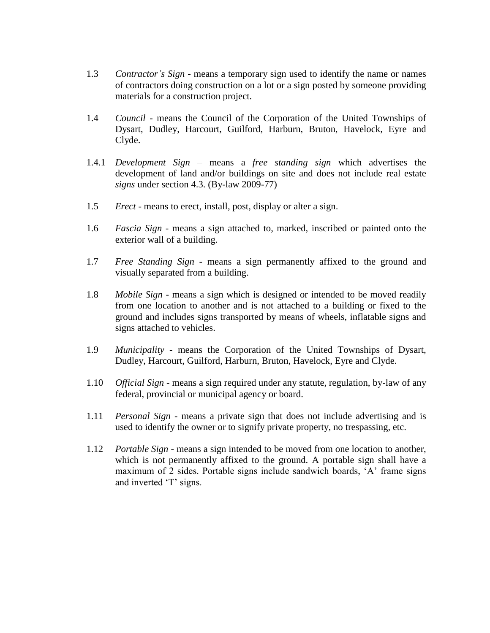- 1.3 *Contractor's Sign* means a temporary sign used to identify the name or names of contractors doing construction on a lot or a sign posted by someone providing materials for a construction project.
- 1.4 *Council -* means the Council of the Corporation of the United Townships of Dysart, Dudley, Harcourt, Guilford, Harburn, Bruton, Havelock, Eyre and Clyde.
- 1.4.1 *Development Sign* means a *free standing sign* which advertises the development of land and/or buildings on site and does not include real estate *signs* under section 4.3. (By-law 2009-77)
- 1.5 *Erect -* means to erect, install, post, display or alter a sign.
- 1.6 *Fascia Sign -* means a sign attached to, marked, inscribed or painted onto the exterior wall of a building.
- 1.7 *Free Standing Sign*  means a sign permanently affixed to the ground and visually separated from a building.
- 1.8 *Mobile Sign -* means a sign which is designed or intended to be moved readily from one location to another and is not attached to a building or fixed to the ground and includes signs transported by means of wheels, inflatable signs and signs attached to vehicles.
- 1.9 *Municipality -* means the Corporation of the United Townships of Dysart, Dudley, Harcourt, Guilford, Harburn, Bruton, Havelock, Eyre and Clyde.
- 1.10 *Official Sign -* means a sign required under any statute, regulation, by-law of any federal, provincial or municipal agency or board.
- 1.11 *Personal Sign*  means a private sign that does not include advertising and is used to identify the owner or to signify private property, no trespassing, etc.
- 1.12 *Portable Sign -* means a sign intended to be moved from one location to another, which is not permanently affixed to the ground. A portable sign shall have a maximum of 2 sides. Portable signs include sandwich boards, 'A' frame signs and inverted 'T' signs.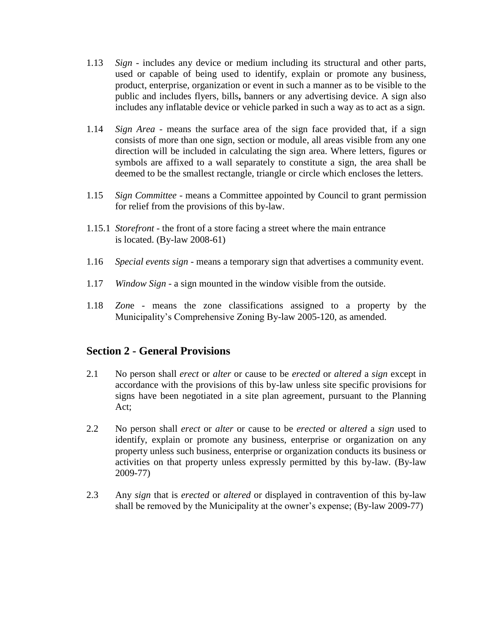- 1.13 *Sign -* includes any device or medium including its structural and other parts, used or capable of being used to identify, explain or promote any business, product, enterprise, organization or event in such a manner as to be visible to the public and includes flyers, bills**,** banners or any advertising device. A sign also includes any inflatable device or vehicle parked in such a way as to act as a sign.
- 1.14 *Sign Area*  means the surface area of the sign face provided that, if a sign consists of more than one sign, section or module, all areas visible from any one direction will be included in calculating the sign area. Where letters, figures or symbols are affixed to a wall separately to constitute a sign, the area shall be deemed to be the smallest rectangle, triangle or circle which encloses the letters.
- 1.15 *Sign Committee -* means a Committee appointed by Council to grant permission for relief from the provisions of this by-law.
- 1.15.1 *Storefront* the front of a store facing a street where the main entrance is located.  $(By-law 2008-61)$
- 1.16 *Special events sign*  means a temporary sign that advertises a community event.
- 1.17 *Window Sign* a sign mounted in the window visible from the outside.
- 1.18 *Zon*e *-* means the zone classifications assigned to a property by the Municipality's Comprehensive Zoning By-law 2005-120, as amended.

# **Section 2 - General Provisions**

- 2.1 No person shall *erect* or *alter* or cause to be *erected* or *altered* a *sign* except in accordance with the provisions of this by-law unless site specific provisions for signs have been negotiated in a site plan agreement, pursuant to the Planning Act;
- 2.2 No person shall *erect* or *alter* or cause to be *erected* or *altered* a *sign* used to identify, explain or promote any business, enterprise or organization on any property unless such business, enterprise or organization conducts its business or activities on that property unless expressly permitted by this by-law. (By-law 2009-77)
- 2.3 Any *sign* that is *erected* or *altered* or displayed in contravention of this by-law shall be removed by the Municipality at the owner's expense; (By-law 2009-77)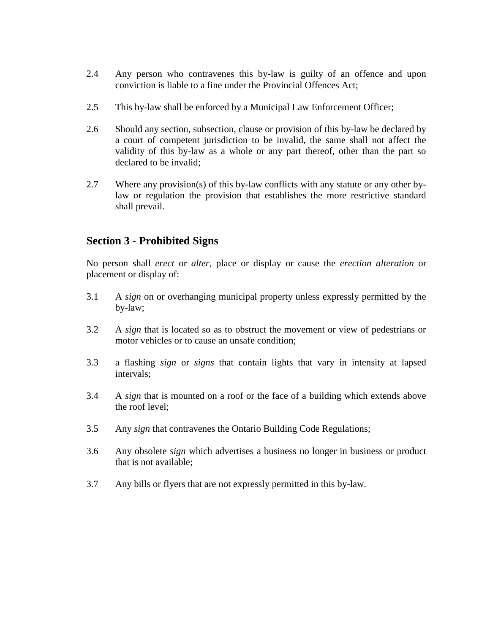- 2.4 Any person who contravenes this by-law is guilty of an offence and upon conviction is liable to a fine under the Provincial Offences Act;
- 2.5 This by-law shall be enforced by a Municipal Law Enforcement Officer;
- 2.6 Should any section, subsection, clause or provision of this by-law be declared by a court of competent jurisdiction to be invalid, the same shall not affect the validity of this by-law as a whole or any part thereof, other than the part so declared to be invalid;
- 2.7 Where any provision(s) of this by-law conflicts with any statute or any other bylaw or regulation the provision that establishes the more restrictive standard shall prevail.

# **Section 3 - Prohibited Signs**

No person shall *erect* or *alter*, place or display or cause the *erection alteration* or placement or display of:

- 3.1 A *sign* on or overhanging municipal property unless expressly permitted by the by-law;
- 3.2 A *sign* that is located so as to obstruct the movement or view of pedestrians or motor vehicles or to cause an unsafe condition;
- 3.3 a flashing *sign* or *signs* that contain lights that vary in intensity at lapsed intervals;
- 3.4 A *sign* that is mounted on a roof or the face of a building which extends above the roof level;
- 3.5 Any *sign* that contravenes the Ontario Building Code Regulations;
- 3.6 Any obsolete *sign* which advertises a business no longer in business or product that is not available;
- 3.7 Any bills or flyers that are not expressly permitted in this by-law.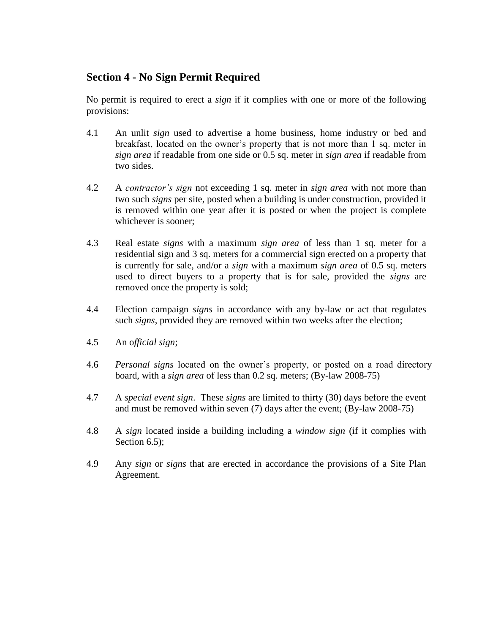# **Section 4 - No Sign Permit Required**

No permit is required to erect a *sign* if it complies with one or more of the following provisions:

- 4.1 An unlit *sign* used to advertise a home business, home industry or bed and breakfast, located on the owner's property that is not more than 1 sq. meter in *sign area* if readable from one side or 0.5 sq. meter in *sign area* if readable from two sides.
- 4.2 A *contractor's sign* not exceeding 1 sq. meter in *sign area* with not more than two such *signs* per site, posted when a building is under construction, provided it is removed within one year after it is posted or when the project is complete whichever is sooner;
- 4.3 Real estate *signs* with a maximum *sign area* of less than 1 sq. meter for a residential sign and 3 sq. meters for a commercial sign erected on a property that is currently for sale, and/or a *sign* with a maximum *sign area* of 0.5 sq. meters used to direct buyers to a property that is for sale, provided the *signs* are removed once the property is sold;
- 4.4 Election campaign *signs* in accordance with any by-law or act that regulates such *signs*, provided they are removed within two weeks after the election;
- 4.5 An o*fficial sign*;
- 4.6 *Personal signs* located on the owner's property, or posted on a road directory board, with a *sign area* of less than 0.2 sq. meters; (By-law 2008-75)
- 4.7 A *special event sign*. These *signs* are limited to thirty (30) days before the event and must be removed within seven (7) days after the event; (By-law 2008-75)
- 4.8 A *sign* located inside a building including a *window sign* (if it complies with Section 6.5);
- 4.9 Any *sign* or *signs* that are erected in accordance the provisions of a Site Plan Agreement.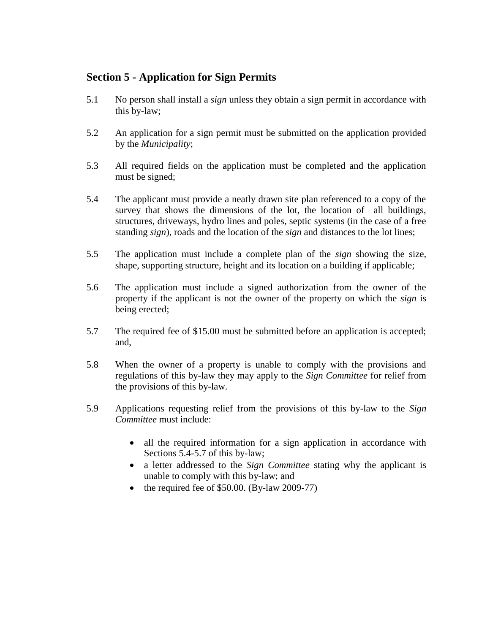# **Section 5 - Application for Sign Permits**

- 5.1 No person shall install a *sign* unless they obtain a sign permit in accordance with this by-law;
- 5.2 An application for a sign permit must be submitted on the application provided by the *Municipality*;
- 5.3 All required fields on the application must be completed and the application must be signed;
- 5.4 The applicant must provide a neatly drawn site plan referenced to a copy of the survey that shows the dimensions of the lot, the location of all buildings, structures, driveways, hydro lines and poles, septic systems (in the case of a free standing *sign*), roads and the location of the *sign* and distances to the lot lines;
- 5.5 The application must include a complete plan of the *sign* showing the size, shape, supporting structure, height and its location on a building if applicable;
- 5.6 The application must include a signed authorization from the owner of the property if the applicant is not the owner of the property on which the *sign* is being erected;
- 5.7 The required fee of \$15.00 must be submitted before an application is accepted; and,
- 5.8 When the owner of a property is unable to comply with the provisions and regulations of this by-law they may apply to the *Sign Committee* for relief from the provisions of this by-law.
- 5.9 Applications requesting relief from the provisions of this by-law to the *Sign Committee* must include:
	- all the required information for a sign application in accordance with Sections 5.4-5.7 of this by-law;
	- a letter addressed to the *Sign Committee* stating why the applicant is unable to comply with this by-law; and
	- the required fee of \$50.00. (By-law 2009-77)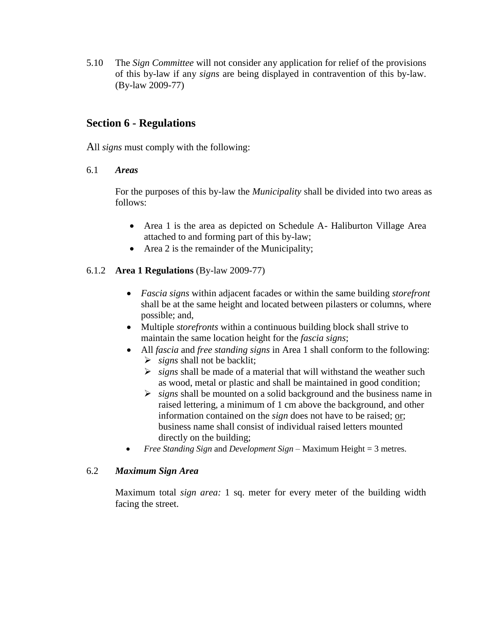5.10 The *Sign Committee* will not consider any application for relief of the provisions of this by-law if any *signs* are being displayed in contravention of this by-law. (By-law 2009-77)

# **Section 6 - Regulations**

All *signs* must comply with the following:

### 6.1 *Areas*

For the purposes of this by-law the *Municipality* shall be divided into two areas as follows:

- Area 1 is the area as depicted on Schedule A- Haliburton Village Area attached to and forming part of this by-law;
- Area 2 is the remainder of the Municipality;

# 6.1.2 **Area 1 Regulations** (By-law 2009-77)

- *Fascia signs* within adjacent facades or within the same building *storefront* shall be at the same height and located between pilasters or columns, where possible; and,
- Multiple *storefronts* within a continuous building block shall strive to maintain the same location height for the *fascia signs*;
- All *fascia* and *free standing signs* in Area 1 shall conform to the following:
	- $\triangleright$  *signs* shall not be backlit;
	- *signs* shall be made of a material that will withstand the weather such as wood, metal or plastic and shall be maintained in good condition;
	- *signs* shall be mounted on a solid background and the business name in raised lettering, a minimum of 1 cm above the background, and other information contained on the *sign* does not have to be raised; or; business name shall consist of individual raised letters mounted directly on the building;
- *Free Standing Sign* and *Development Sign* Maximum Height = 3 metres.

# 6.2 *Maximum Sign Area*

Maximum total *sign area:* 1 sq. meter for every meter of the building width facing the street.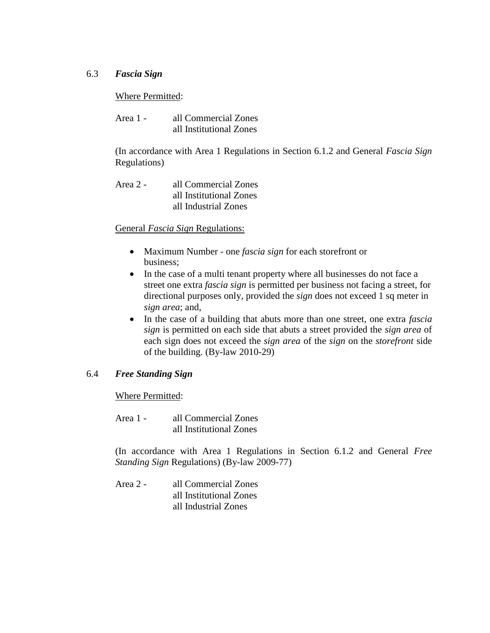### 6.3 *Fascia Sign*

#### Where Permitted:

| Area 1 - | all Commercial Zones    |
|----------|-------------------------|
|          | all Institutional Zones |

(In accordance with Area 1 Regulations in Section 6.1.2 and General *Fascia Sign* Regulations)

| Area 2 - | all Commercial Zones    |
|----------|-------------------------|
|          | all Institutional Zones |
|          | all Industrial Zones    |

#### General *Fascia Sign* Regulations:

- Maximum Number one *fascia sign* for each storefront or business;
- In the case of a multi tenant property where all businesses do not face a street one extra *fascia sign* is permitted per business not facing a street, for directional purposes only, provided the *sign* does not exceed 1 sq meter in *sign area*; and,
- In the case of a building that abuts more than one street, one extra *fascia sign* is permitted on each side that abuts a street provided the *sign area* of each sign does not exceed the *sign area* of the *sign* on the *storefront* side of the building. (By-law 2010-29)

#### 6.4 *Free Standing Sign*

#### Where Permitted:

Area 1 - all Commercial Zones all Institutional Zones

(In accordance with Area 1 Regulations in Section 6.1.2 and General *Free Standing Sign* Regulations) (By-law 2009-77)

Area 2 - all Commercial Zones all Institutional Zones all Industrial Zones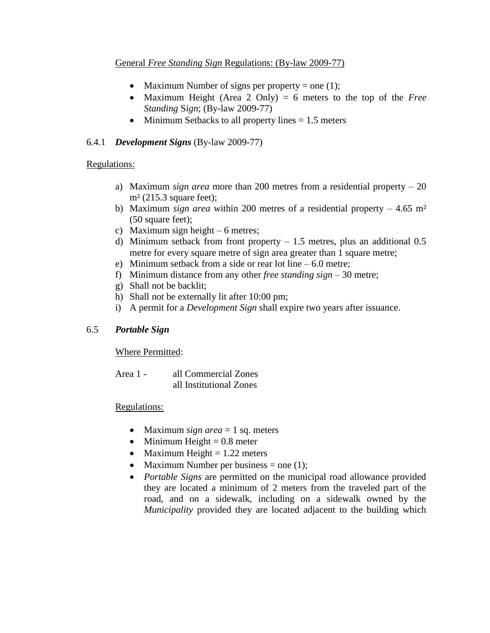### General *Free Standing Sign* Regulations: (By-law 2009-77)

- Maximum Number of signs per property  $=$  one (1);
- Maximum Height (Area 2 Only) = 6 meters to the top of the *Free Standing* S*ign*; (By-law 2009-77)
- Minimum Setbacks to all property lines  $= 1.5$  meters

# 6.4.1 *Development Signs* (By-law 2009-77)

# Regulations:

- a) Maximum *sign area* more than 200 metres from a residential property 20  $m<sup>2</sup>$  (215.3 square feet);
- b) Maximum *sign area* within 200 metres of a residential property  $-4.65$  m<sup>2</sup> (50 square feet);
- c) Maximum sign height 6 metres;
- d) Minimum setback from front property  $-1.5$  metres, plus an additional 0.5 metre for every square metre of sign area greater than 1 square metre;
- e) Minimum setback from a side or rear lot line 6.0 metre;
- f) Minimum distance from any other *free standing sign* 30 metre;
- g) Shall not be backlit;
- h) Shall not be externally lit after 10:00 pm;
- i) A permit for a *Development Sign* shall expire two years after issuance.

# 6.5 *Portable Sign*

Where Permitted:

Area 1 - all Commercial Zones all Institutional Zones

# Regulations:

- Maximum *sign area*  $= 1$  sq. meters
- $\bullet$  Minimum Height = 0.8 meter
- Maximum Height  $= 1.22$  meters
- Maximum Number per business = one  $(1)$ ;
- *Portable Signs* are permitted on the municipal road allowance provided they are located a minimum of 2 meters from the traveled part of the road, and on a sidewalk, including on a sidewalk owned by the *Municipality* provided they are located adjacent to the building which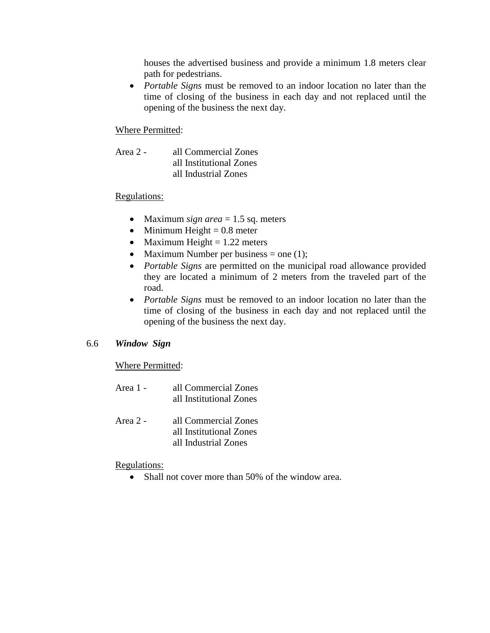houses the advertised business and provide a minimum 1.8 meters clear path for pedestrians.

 *Portable Signs* must be removed to an indoor location no later than the time of closing of the business in each day and not replaced until the opening of the business the next day.

# Where Permitted:

Area 2 - all Commercial Zones all Institutional Zones all Industrial Zones

# Regulations:

- Maximum *sign area*  $= 1.5$  sq. meters
- $\bullet$  Minimum Height = 0.8 meter
- Maximum Height  $= 1.22$  meters
- Maximum Number per business = one  $(1)$ ;
- *Portable Signs* are permitted on the municipal road allowance provided they are located a minimum of 2 meters from the traveled part of the road.
- *Portable Signs* must be removed to an indoor location no later than the time of closing of the business in each day and not replaced until the opening of the business the next day.

# 6.6 *Window Sign*

Where Permitted:

| Area 1 - | all Commercial Zones<br>all Institutional Zones |
|----------|-------------------------------------------------|
| Area 2 - | all Commercial Zones                            |

Area 2 - all Commercial Zones all Institutional Zones all Industrial Zones

# Regulations:

• Shall not cover more than 50% of the window area.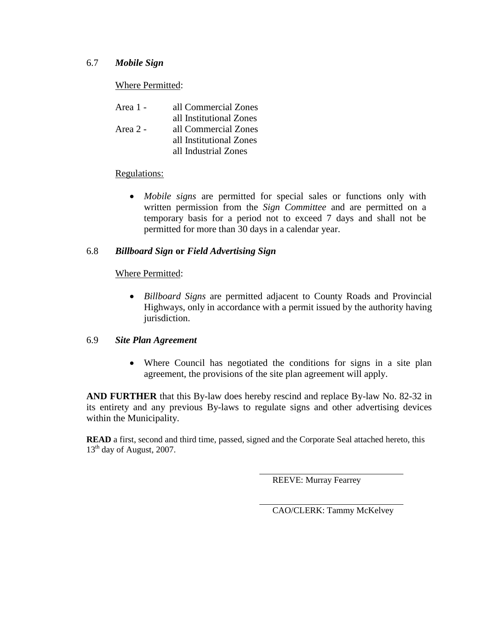### 6.7 *Mobile Sign*

# Where Permitted:

| Area 1 - | all Commercial Zones    |
|----------|-------------------------|
|          | all Institutional Zones |
| Area 2 - | all Commercial Zones    |
|          | all Institutional Zones |
|          | all Industrial Zones    |

#### Regulations:

 *Mobile signs* are permitted for special sales or functions only with written permission from the *Sign Committee* and are permitted on a temporary basis for a period not to exceed 7 days and shall not be permitted for more than 30 days in a calendar year.

#### 6.8 *Billboard Sign* **or** *Field Advertising Sign*

#### Where Permitted:

 *Billboard Signs* are permitted adjacent to County Roads and Provincial Highways, only in accordance with a permit issued by the authority having jurisdiction.

#### 6.9 *Site Plan Agreement*

 Where Council has negotiated the conditions for signs in a site plan agreement, the provisions of the site plan agreement will apply.

**AND FURTHER** that this By-law does hereby rescind and replace By-law No. 82-32 in its entirety and any previous By-laws to regulate signs and other advertising devices within the Municipality.

**READ** a first, second and third time, passed, signed and the Corporate Seal attached hereto, this  $13<sup>th</sup>$  day of August, 2007.

REEVE: Murray Fearrey

CAO/CLERK: Tammy McKelvey